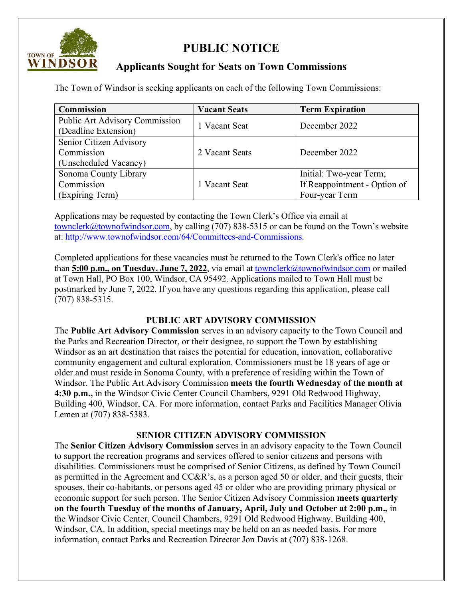

# **PUBLIC NOTICE**

## **Applicants Sought for Seats on Town Commissions**

The Town of Windsor is seeking applicants on each of the following Town Commissions:

| <b>Commission</b>                                              | <b>Vacant Seats</b> | <b>Term Expiration</b>                                                    |
|----------------------------------------------------------------|---------------------|---------------------------------------------------------------------------|
| Public Art Advisory Commission<br>(Deadline Extension)         | 1 Vacant Seat       | December 2022                                                             |
| Senior Citizen Advisory<br>Commission<br>(Unscheduled Vacancy) | 2 Vacant Seats      | December 2022                                                             |
| Sonoma County Library<br>Commission<br>(Expiring Term)         | 1 Vacant Seat       | Initial: Two-year Term;<br>If Reappointment - Option of<br>Four-year Term |

Applications may be requested by contacting the Town Clerk's Office via email at [townclerk@townofwindsor.com,](mailto:townclerk@townofwindsor.com) by calling (707) 838-5315 or can be found on the Town's website at: [http://www.townofwindsor.com/64/Committees-and-Commissions.](http://www.townofwindsor.com/64/Committees-and-Commissions)

Completed applications for these vacancies must be returned to the Town Clerk's office no later than 5:00 p.m., on Tuesday, June 7, 2022, via email at **townclerk@townofwindsor.com** or mailed at Town Hall, PO Box 100, Windsor, CA 95492. Applications mailed to Town Hall must be postmarked by June 7, 2022. If you have any questions regarding this application, please call (707) 838-5315.

### **PUBLIC ART ADVISORY COMMISSION**

The **Public Art Advisory Commission** serves in an advisory capacity to the Town Council and the Parks and Recreation Director, or their designee, to support the Town by establishing Windsor as an art destination that raises the potential for education, innovation, collaborative community engagement and cultural exploration. Commissioners must be 18 years of age or older and must reside in Sonoma County, with a preference of residing within the Town of Windsor. The Public Art Advisory Commission **meets the fourth Wednesday of the month at 4:30 p.m.,** in the Windsor Civic Center Council Chambers, 9291 Old Redwood Highway, Building 400, Windsor, CA. For more information, contact Parks and Facilities Manager Olivia Lemen at (707) 838-5383.

### **SENIOR CITIZEN ADVISORY COMMISSION**

The **Senior Citizen Advisory Commission** serves in an advisory capacity to the Town Council to support the recreation programs and services offered to senior citizens and persons with disabilities. Commissioners must be comprised of Senior Citizens, as defined by Town Council as permitted in the Agreement and CC&R's, as a person aged 50 or older, and their guests, their spouses, their co-habitants, or persons aged 45 or older who are providing primary physical or economic support for such person. The Senior Citizen Advisory Commission **meets quarterly on the fourth Tuesday of the months of January, April, July and October at 2:00 p.m.,** in the Windsor Civic Center, Council Chambers, 9291 Old Redwood Highway, Building 400, Windsor, CA. In addition, special meetings may be held on an as needed basis. For more information, contact Parks and Recreation Director Jon Davis at (707) 838-1268.